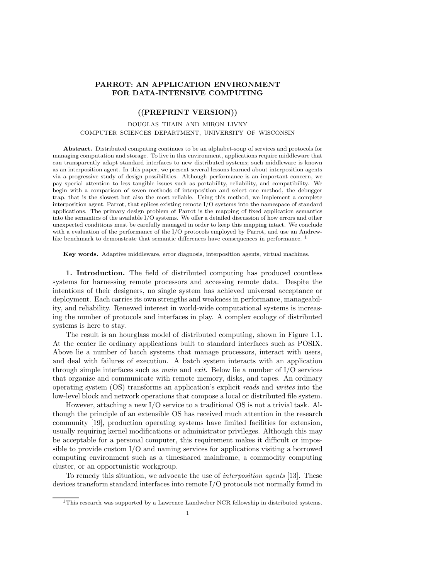## PARROT: AN APPLICATION ENVIRONMENT FOR DATA-INTENSIVE COMPUTING

## ((PREPRINT VERSION))

## DOUGLAS THAIN AND MIRON LIVNY COMPUTER SCIENCES DEPARTMENT, UNIVERSITY OF WISCONSIN

Abstract. Distributed computing continues to be an alphabet-soup of services and protocols for managing computation and storage. To live in this environment, applications require middleware that can transparently adapt standard interfaces to new distributed systems; such middleware is known as an interposition agent. In this paper, we present several lessons learned about interposition agents via a progressive study of design possibilities. Although performance is an important concern, we pay special attention to less tangible issues such as portability, reliability, and compatibility. We begin with a comparison of seven methods of interposition and select one method, the debugger trap, that is the slowest but also the most reliable. Using this method, we implement a complete interposition agent, Parrot, that splices existing remote I/O systems into the namespace of standard applications. The primary design problem of Parrot is the mapping of fixed application semantics into the semantics of the available I/O systems. We offer a detailed discussion of how errors and other unexpected conditions must be carefully managed in order to keep this mapping intact. We conclude with a evaluation of the performance of the I/O protocols employed by Parrot, and use an Andrewlike benchmark to demonstrate that semantic differences have consequences in performance.<sup>1</sup>

Key words. Adaptive middleware, error diagnosis, interposition agents, virtual machines.

1. Introduction. The field of distributed computing has produced countless systems for harnessing remote processors and accessing remote data. Despite the intentions of their designers, no single system has achieved universal acceptance or deployment. Each carries its own strengths and weakness in performance, manageability, and reliability. Renewed interest in world-wide computational systems is increasing the number of protocols and interfaces in play. A complex ecology of distributed systems is here to stay.

The result is an hourglass model of distributed computing, shown in Figure 1.1. At the center lie ordinary applications built to standard interfaces such as POSIX. Above lie a number of batch systems that manage processors, interact with users, and deal with failures of execution. A batch system interacts with an application through simple interfaces such as main and exit. Below lie a number of I/O services that organize and communicate with remote memory, disks, and tapes. An ordinary operating system (OS) transforms an application's explicit reads and writes into the low-level block and network operations that compose a local or distributed file system.

However, attaching a new I/O service to a traditional OS is not a trivial task. Although the principle of an extensible OS has received much attention in the research community [19], production operating systems have limited facilities for extension, usually requiring kernel modifications or administrator privileges. Although this may be acceptable for a personal computer, this requirement makes it difficult or impossible to provide custom I/O and naming services for applications visiting a borrowed computing environment such as a timeshared mainframe, a commodity computing cluster, or an opportunistic workgroup.

To remedy this situation, we advocate the use of interposition agents [13]. These devices transform standard interfaces into remote I/O protocols not normally found in

 $1$ This research was supported by a Lawrence Landweber NCR fellowship in distributed systems.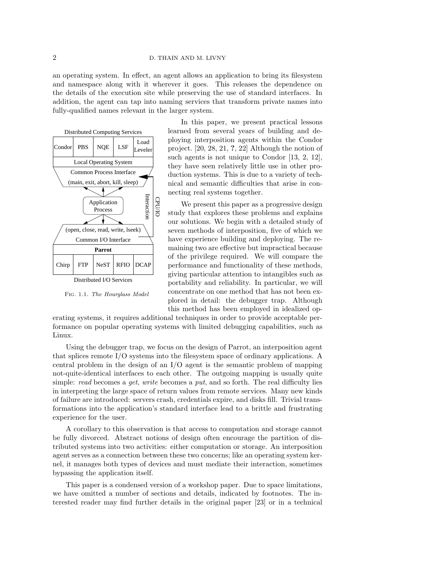an operating system. In effect, an agent allows an application to bring its filesystem and namespace along with it wherever it goes. This releases the dependence on the details of the execution site while preserving the use of standard interfaces. In addition, the agent can tap into naming services that transform private names into fully-qualified names relevant in the larger system.



Fig. 1.1. The Hourglass Model

In this paper, we present practical lessons learned from several years of building and deploying interposition agents within the Condor project. [20, 28, 21, ?, 22] Although the notion of such agents is not unique to Condor [13, 2, 12], they have seen relatively little use in other production systems. This is due to a variety of technical and semantic difficulties that arise in connecting real systems together.

We present this paper as a progressive design study that explores these problems and explains our solutions. We begin with a detailed study of seven methods of interposition, five of which we have experience building and deploying. The remaining two are effective but impractical because of the privilege required. We will compare the performance and functionality of these methods, giving particular attention to intangibles such as portability and reliability. In particular, we will concentrate on one method that has not been explored in detail: the debugger trap. Although this method has been employed in idealized op-

erating systems, it requires additional techniques in order to provide acceptable performance on popular operating systems with limited debugging capabilities, such as Linux.

Using the debugger trap, we focus on the design of Parrot, an interposition agent that splices remote I/O systems into the filesystem space of ordinary applications. A central problem in the design of an I/O agent is the semantic problem of mapping not-quite-identical interfaces to each other. The outgoing mapping is usually quite simple: read becomes a get, write becomes a put, and so forth. The real difficulty lies in interpreting the large space of return values from remote services. Many new kinds of failure are introduced: servers crash, credentials expire, and disks fill. Trivial transformations into the application's standard interface lead to a brittle and frustrating experience for the user.

A corollary to this observation is that access to computation and storage cannot be fully divorced. Abstract notions of design often encourage the partition of distributed systems into two activities: either computation or storage. An interposition agent serves as a connection between these two concerns; like an operating system kernel, it manages both types of devices and must mediate their interaction, sometimes bypassing the application itself.

This paper is a condensed version of a workshop paper. Due to space limitations, we have omitted a number of sections and details, indicated by footnotes. The interested reader may find further details in the original paper [23] or in a technical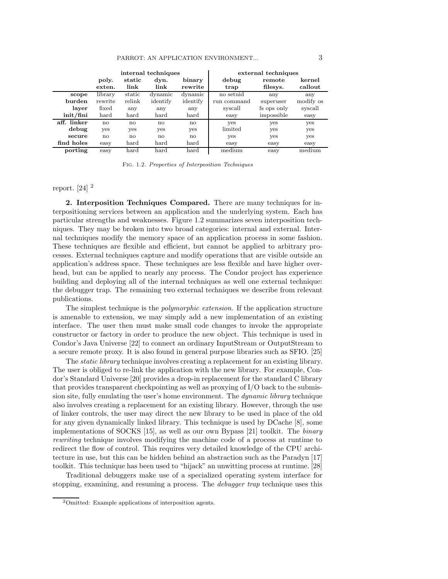|                            | internal techniques |                                                                                                                  |              |               | external techniques |             |           |  |
|----------------------------|---------------------|------------------------------------------------------------------------------------------------------------------|--------------|---------------|---------------------|-------------|-----------|--|
|                            | poly.               | static                                                                                                           | dyn.         | binary        | debug               | remote      | kernel    |  |
|                            | exten.              | link                                                                                                             | link         | rewrite       | trap                | filesys.    | callout   |  |
| scope                      | library             | static                                                                                                           | dynamic      | dynamic       | no setuid           | any         | any       |  |
| burden                     | rewrite             | relink                                                                                                           | identify     | identify      | run command         | superuser   | modify os |  |
| layer                      | fixed               | any                                                                                                              | any          | any           | syscall             | fs ops only | syscall   |  |
| $\int \frac{\sinh}{\sinh}$ | hard                | hard                                                                                                             | hard         | $_{\rm hard}$ | easy                | impossible  | easy      |  |
| aff. linker                | $\mathbf{n}$        | no                                                                                                               | $\mathbf{n}$ | no            | yes                 | yes         | yes       |  |
| debug                      | yes                 | yes                                                                                                              | <b>ves</b>   | yes           | limited             | yes         | yes       |  |
| secure                     | no                  | no                                                                                                               | $\mathbf{n}$ | no            | yes                 | yes         | yes       |  |
| find holes                 | easy                | hard                                                                                                             | hard         | hard          | easy                | easy        | easy      |  |
| porting                    | easy                | $\operatorname*{hard}% \left( \mathcal{M}\right) \equiv\operatorname*{grad}\mathcal{M}\left( \mathcal{M}\right)$ | hard         | $_{\rm hard}$ | medium              | easy        | medium    |  |

Fig. 1.2. Properties of Interposition Techniques

# report.  $[24]$ <sup>2</sup>

2. Interposition Techniques Compared. There are many techniques for interpositioning services between an application and the underlying system. Each has particular strengths and weaknesses. Figure 1.2 summarizes seven interposition techniques. They may be broken into two broad categories: internal and external. Internal techniques modify the memory space of an application process in some fashion. These techniques are flexible and efficient, but cannot be applied to arbitrary processes. External techniques capture and modify operations that are visible outside an application's address space. These techniques are less flexible and have higher overhead, but can be applied to nearly any process. The Condor project has experience building and deploying all of the internal techniques as well one external technique: the debugger trap. The remaining two external techniques we describe from relevant publications.

The simplest technique is the *polymorphic extension*. If the application structure is amenable to extension, we may simply add a new implementation of an existing interface. The user then must make small code changes to invoke the appropriate constructor or factory in order to produce the new object. This technique is used in Condor's Java Universe [22] to connect an ordinary InputStream or OutputStream to a secure remote proxy. It is also found in general purpose libraries such as SFIO. [25]

The *static library* technique involves creating a replacement for an existing library. The user is obliged to re-link the application with the new library. For example, Condor's Standard Universe [20] provides a drop-in replacement for the standard C library that provides transparent checkpointing as well as proxying of I/O back to the submission site, fully emulating the user's home environment. The *dynamic library* technique also involves creating a replacement for an existing library. However, through the use of linker controls, the user may direct the new library to be used in place of the old for any given dynamically linked library. This technique is used by DCache [8], some implementations of SOCKS [15], as well as our own Bypass [21] toolkit. The binary rewriting technique involves modifying the machine code of a process at runtime to redirect the flow of control. This requires very detailed knowledge of the CPU architecture in use, but this can be hidden behind an abstraction such as the Paradyn [17] toolkit. This technique has been used to "hijack" an unwitting process at runtime. [28]

Traditional debuggers make use of a specialized operating system interface for stopping, examining, and resuming a process. The debugger trap technique uses this

<sup>2</sup>Omitted: Example applications of interposition agents.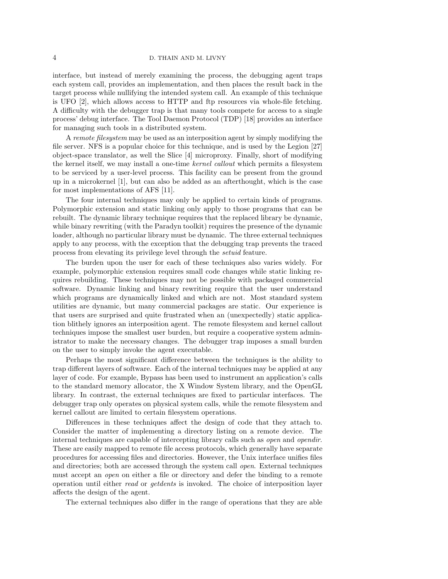interface, but instead of merely examining the process, the debugging agent traps each system call, provides an implementation, and then places the result back in the target process while nullifying the intended system call. An example of this technique is UFO [2], which allows access to HTTP and ftp resources via whole-file fetching. A difficulty with the debugger trap is that many tools compete for access to a single process' debug interface. The Tool Daemon Protocol (TDP) [18] provides an interface for managing such tools in a distributed system.

A remote filesystem may be used as an interposition agent by simply modifying the file server. NFS is a popular choice for this technique, and is used by the Legion [27] object-space translator, as well the Slice [4] microproxy. Finally, short of modifying the kernel itself, we may install a one-time kernel callout which permits a filesystem to be serviced by a user-level process. This facility can be present from the ground up in a microkernel [1], but can also be added as an afterthought, which is the case for most implementations of AFS [11].

The four internal techniques may only be applied to certain kinds of programs. Polymorphic extension and static linking only apply to those programs that can be rebuilt. The dynamic library technique requires that the replaced library be dynamic, while binary rewriting (with the Paradyn toolkit) requires the presence of the dynamic loader, although no particular library must be dynamic. The three external techniques apply to any process, with the exception that the debugging trap prevents the traced process from elevating its privilege level through the setuid feature.

The burden upon the user for each of these techniques also varies widely. For example, polymorphic extension requires small code changes while static linking requires rebuilding. These techniques may not be possible with packaged commercial software. Dynamic linking and binary rewriting require that the user understand which programs are dynamically linked and which are not. Most standard system utilities are dynamic, but many commercial packages are static. Our experience is that users are surprised and quite frustrated when an (unexpectedly) static application blithely ignores an interposition agent. The remote filesystem and kernel callout techniques impose the smallest user burden, but require a cooperative system administrator to make the necessary changes. The debugger trap imposes a small burden on the user to simply invoke the agent executable.

Perhaps the most significant difference between the techniques is the ability to trap different layers of software. Each of the internal techniques may be applied at any layer of code. For example, Bypass has been used to instrument an application's calls to the standard memory allocator, the X Window System library, and the OpenGL library. In contrast, the external techniques are fixed to particular interfaces. The debugger trap only operates on physical system calls, while the remote filesystem and kernel callout are limited to certain filesystem operations.

Differences in these techniques affect the design of code that they attach to. Consider the matter of implementing a directory listing on a remote device. The internal techniques are capable of intercepting library calls such as open and opendir. These are easily mapped to remote file access protocols, which generally have separate procedures for accessing files and directories. However, the Unix interface unifies files and directories; both are accessed through the system call open. External techniques must accept an open on either a file or directory and defer the binding to a remote operation until either read or getdents is invoked. The choice of interposition layer affects the design of the agent.

The external techniques also differ in the range of operations that they are able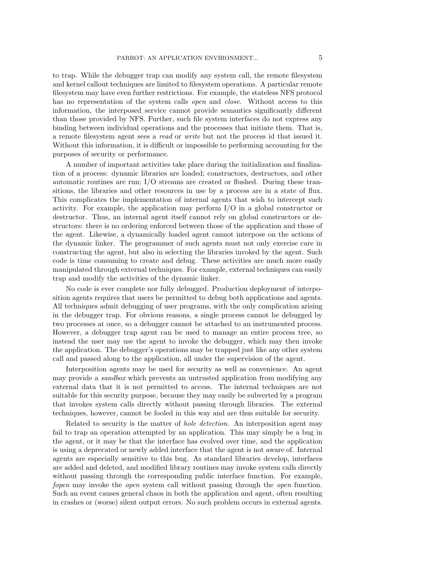to trap. While the debugger trap can modify any system call, the remote filesystem and kernel callout techniques are limited to filesystem operations. A particular remote filesystem may have even further restrictions. For example, the stateless NFS protocol has no representation of the system calls *open* and *close*. Without access to this information, the interposed service cannot provide semantics significantly different than those provided by NFS. Further, such file system interfaces do not express any binding between individual operations and the processes that initiate them. That is, a remote filesystem agent sees a read or write but not the process id that issued it. Without this information, it is difficult or impossible to performing accounting for the purposes of security or performance.

A number of important activities take place during the initialization and finalization of a process: dynamic libraries are loaded; constructors, destructors, and other automatic routines are run; I/O streams are created or flushed. During these transitions, the libraries and other resources in use by a process are in a state of flux. This complicates the implementation of internal agents that wish to intercept such activity. For example, the application may perform I/O in a global constructor or destructor. Thus, an internal agent itself cannot rely on global constructors or destructors: there is no ordering enforced between those of the application and those of the agent. Likewise, a dynamically loaded agent cannot interpose on the actions of the dynamic linker. The programmer of such agents must not only exercise care in constructing the agent, but also in selecting the libraries invoked by the agent. Such code is time consuming to create and debug. These activities are much more easily manipulated through external techniques. For example, external techniques can easily trap and modify the activities of the dynamic linker.

No code is ever complete nor fully debugged. Production deployment of interposition agents requires that users be permitted to debug both applications and agents. All techniques admit debugging of user programs, with the only complication arising in the debugger trap. For obvious reasons, a single process cannot be debugged by two processes at once, so a debugger cannot be attached to an instrumented process. However, a debugger trap agent can be used to manage an entire process tree, so instead the user may use the agent to invoke the debugger, which may then invoke the application. The debugger's operations may be trapped just like any other system call and passed along to the application, all under the supervision of the agent.

Interposition agents may be used for security as well as convenience. An agent may provide a *sandbox* which prevents an untrusted application from modifying any external data that it is not permitted to access. The internal techniques are not suitable for this security purpose, because they may easily be subverted by a program that invokes system calls directly without passing through libraries. The external techniques, however, cannot be fooled in this way and are thus suitable for security.

Related to security is the matter of *hole detection*. An interposition agent may fail to trap an operation attempted by an application. This may simply be a bug in the agent, or it may be that the interface has evolved over time, and the application is using a deprecated or newly added interface that the agent is not aware of. Internal agents are especially sensitive to this bug. As standard libraries develop, interfaces are added and deleted, and modified library routines may invoke system calls directly without passing through the corresponding public interface function. For example, fopen may invoke the open system call without passing through the open function. Such an event causes general chaos in both the application and agent, often resulting in crashes or (worse) silent output errors. No such problem occurs in external agents.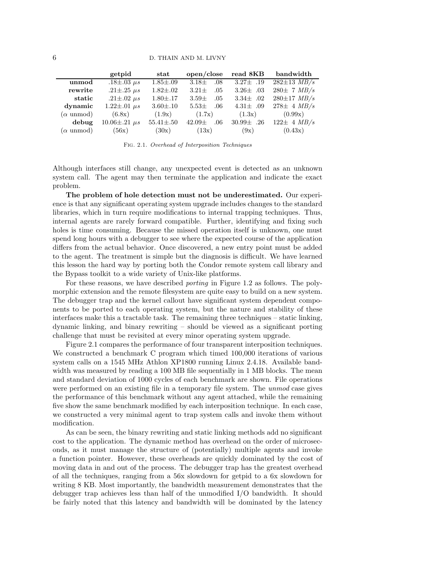|                          | getpid                  | $_{\rm stat}$    | open/close        | read 8KB        | bandwidth                |
|--------------------------|-------------------------|------------------|-------------------|-----------------|--------------------------|
| unmod                    | $.18{\pm}.03~\mu s$     | $1.85 \pm .09$   | $3.18\pm$<br>.08  | $3.27 \pm .19$  | $282 \pm 13$ MB/s        |
| rewrite                  | .21 $\pm$ .25 $\mu s$   | $1.82 {\pm} .02$ | $3.21\pm$<br>.05  | 3.26 $\pm$ .03  | $280 \pm 7$ MB/s         |
| static                   | .21 $\pm$ .02 $\mu s$   | $1.80{\pm}.17$   | $3.59\pm$<br>.05  | $3.34\pm .02$   | $280 \pm 17$ $MB/s$      |
| dynamic                  | $1.22 \pm .01 \ \mu s$  | $3.60{\pm}.10$   | $5.53\pm$<br>.06  | 4.31 $\pm$ .09  | $278\pm 4$ MB/s          |
| $(\alpha \text{ unmod})$ | (6.8x)                  | (1.9x)           | (1.7x)            | (1.3x)          | (0.99x)                  |
| debug                    | $10.06 \pm .21 \ \mu s$ | $55.41 \pm .50$  | $42.09\pm$<br>.06 | $30.99 \pm .26$ | $122 \pm 4 \text{ MB/s}$ |
| $(\alpha \text{ unmod})$ | (56x)                   | (30x)            | (13x)             | (9x)            | (0.43x)                  |

Fig. 2.1. Overhead of Interposition Techniques

Although interfaces still change, any unexpected event is detected as an unknown system call. The agent may then terminate the application and indicate the exact problem.

The problem of hole detection must not be underestimated. Our experience is that any significant operating system upgrade includes changes to the standard libraries, which in turn require modifications to internal trapping techniques. Thus, internal agents are rarely forward compatible. Further, identifying and fixing such holes is time consuming. Because the missed operation itself is unknown, one must spend long hours with a debugger to see where the expected course of the application differs from the actual behavior. Once discovered, a new entry point must be added to the agent. The treatment is simple but the diagnosis is difficult. We have learned this lesson the hard way by porting both the Condor remote system call library and the Bypass toolkit to a wide variety of Unix-like platforms.

For these reasons, we have described porting in Figure 1.2 as follows. The polymorphic extension and the remote filesystem are quite easy to build on a new system. The debugger trap and the kernel callout have significant system dependent components to be ported to each operating system, but the nature and stability of these interfaces make this a tractable task. The remaining three techniques – static linking, dynamic linking, and binary rewriting – should be viewed as a significant porting challenge that must be revisited at every minor operating system upgrade.

Figure 2.1 compares the performance of four transparent interposition techniques. We constructed a benchmark C program which timed 100,000 iterations of various system calls on a 1545 MHz Athlon XP1800 running Linux 2.4.18. Available bandwidth was measured by reading a 100 MB file sequentially in 1 MB blocks. The mean and standard deviation of 1000 cycles of each benchmark are shown. File operations were performed on an existing file in a temporary file system. The *unmod* case gives the performance of this benchmark without any agent attached, while the remaining five show the same benchmark modified by each interposition technique. In each case, we constructed a very minimal agent to trap system calls and invoke them without modification.

As can be seen, the binary rewriting and static linking methods add no significant cost to the application. The dynamic method has overhead on the order of microseconds, as it must manage the structure of (potentially) multiple agents and invoke a function pointer. However, these overheads are quickly dominated by the cost of moving data in and out of the process. The debugger trap has the greatest overhead of all the techniques, ranging from a 56x slowdown for getpid to a 6x slowdown for writing 8 KB. Most importantly, the bandwidth measurement demonstrates that the debugger trap achieves less than half of the unmodified I/O bandwidth. It should be fairly noted that this latency and bandwidth will be dominated by the latency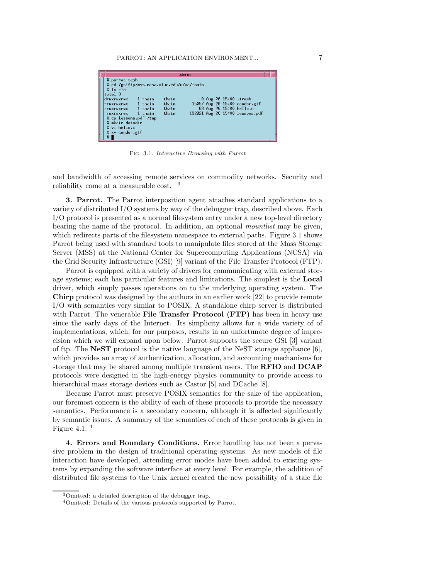|                                                                                                                                                    |                      |                         | xterm |  |                                                                                   |  |
|----------------------------------------------------------------------------------------------------------------------------------------------------|----------------------|-------------------------|-------|--|-----------------------------------------------------------------------------------|--|
| % parrot tcsh<br>% cd /gsiftp/mss.ncsa.uiuc.edu/u/ac/thain<br>$2$ $\vert$ s $\vert$ a<br>total 3<br>druxruxrux<br>-rwxrwxrwx<br>-rwxrwxrwx 1 thain | 1 thain<br>$1$ thain | thain<br>thain<br>thain |       |  | 0 Aug 26 15:00 .trash<br>15057 Aug 26 15:00 condor.gif<br>68 Aug 26 15:00 hello.c |  |
| -rwxrwxrwx 1 thain<br>% cp lessons.pdf /tmp<br>% mkdir datadir<br>$%$ vi hello.c<br>% xv condor.gif<br>$\frac{9}{2}$                               |                      | thain                   |       |  | 132921 Aug 26 15:00 lessons.pdf                                                   |  |

Fig. 3.1. Interactive Browsing with Parrot

and bandwidth of accessing remote services on commodity networks. Security and reliability come at a measurable cost. <sup>3</sup>

3. Parrot. The Parrot interposition agent attaches standard applications to a variety of distributed I/O systems by way of the debugger trap, described above. Each I/O protocol is presented as a normal filesystem entry under a new top-level directory bearing the name of the protocol. In addition, an optional mountlist may be given, which redirects parts of the filesystem namespace to external paths. Figure 3.1 shows Parrot being used with standard tools to manipulate files stored at the Mass Storage Server (MSS) at the National Center for Supercomputing Applications (NCSA) via the Grid Security Infrastructure (GSI) [9] variant of the File Transfer Protocol (FTP).

Parrot is equipped with a variety of drivers for communicating with external storage systems; each has particular features and limitations. The simplest is the Local driver, which simply passes operations on to the underlying operating system. The Chirp protocol was designed by the authors in an earlier work [22] to provide remote I/O with semantics very similar to POSIX. A standalone chirp server is distributed with Parrot. The venerable **File Transfer Protocol (FTP)** has been in heavy use since the early days of the Internet. Its simplicity allows for a wide variety of of implementations, which, for our purposes, results in an unfortunate degree of imprecision which we will expand upon below. Parrot supports the secure GSI [3] variant of ftp. The **NeST** protocol is the native language of the NeST storage appliance  $[6]$ , which provides an array of authentication, allocation, and accounting mechanisms for storage that may be shared among multiple transient users. The RFIO and DCAP protocols were designed in the high-energy physics community to provide access to hierarchical mass storage devices such as Castor [5] and DCache [8].

Because Parrot must preserve POSIX semantics for the sake of the application, our foremost concern is the ability of each of these protocols to provide the necessary semantics. Performance is a secondary concern, although it is affected significantly by semantic issues. A summary of the semantics of each of these protocols is given in Figure 4.1. $<sup>4</sup>$ </sup>

4. Errors and Boundary Conditions. Error handling has not been a pervasive problem in the design of traditional operating systems. As new models of file interaction have developed, attending error modes have been added to existing systems by expanding the software interface at every level. For example, the addition of distributed file systems to the Unix kernel created the new possibility of a stale file

<sup>3</sup>Omitted: a detailed description of the debugger trap.

<sup>4</sup>Omitted: Details of the various protocols supported by Parrot.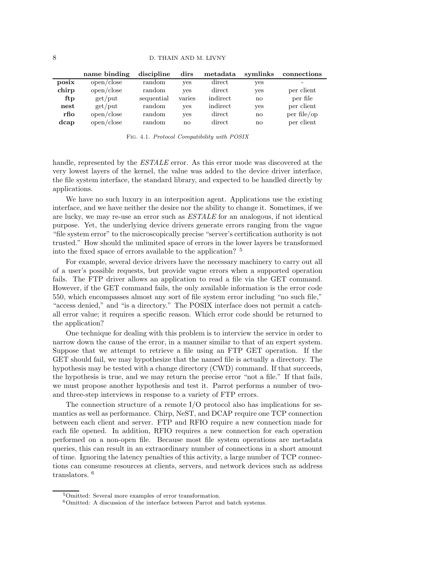|       | name binding | discipline | dirs   | metadata | symlinks     | connections |
|-------|--------------|------------|--------|----------|--------------|-------------|
| posix | open/close   | random     | yes    | direct   | yes          | -           |
| chirp | open/close   | random     | yes    | direct   | yes          | per client  |
| ftp   | $get$ ut     | sequential | varies | indirect | $\mathbf{n}$ | per file    |
| nest  | $get$ ut     | random     | yes    | indirect | yes          | per client  |
| rfio  | open/close   | random     | yes    | direct   | $\mathbf{n}$ | per file/op |
| dcap  | open/close   | random     | no     | direct   | $\mathbf{n}$ | per client  |

Fig. 4.1. Protocol Compatibility with POSIX

handle, represented by the **ESTALE** error. As this error mode was discovered at the very lowest layers of the kernel, the value was added to the device driver interface, the file system interface, the standard library, and expected to be handled directly by applications.

We have no such luxury in an interposition agent. Applications use the existing interface, and we have neither the desire nor the ability to change it. Sometimes, if we are lucky, we may re-use an error such as ESTALE for an analogous, if not identical purpose. Yet, the underlying device drivers generate errors ranging from the vague "file system error" to the microscopically precise "server's certification authority is not trusted." How should the unlimited space of errors in the lower layers be transformed into the fixed space of errors available to the application? <sup>5</sup>

For example, several device drivers have the necessary machinery to carry out all of a user's possible requests, but provide vague errors when a supported operation fails. The FTP driver allows an application to read a file via the GET command. However, if the GET command fails, the only available information is the error code 550, which encompasses almost any sort of file system error including "no such file," "access denied," and "is a directory." The POSIX interface does not permit a catchall error value; it requires a specific reason. Which error code should be returned to the application?

One technique for dealing with this problem is to interview the service in order to narrow down the cause of the error, in a manner similar to that of an expert system. Suppose that we attempt to retrieve a file using an FTP GET operation. If the GET should fail, we may hypothesize that the named file is actually a directory. The hypothesis may be tested with a change directory (CWD) command. If that succeeds, the hypothesis is true, and we may return the precise error "not a file." If that fails, we must propose another hypothesis and test it. Parrot performs a number of twoand three-step interviews in response to a variety of FTP errors.

The connection structure of a remote I/O protocol also has implications for semantics as well as performance. Chirp, NeST, and DCAP require one TCP connection between each client and server. FTP and RFIO require a new connection made for each file opened. In addition, RFIO requires a new connection for each operation performed on a non-open file. Because most file system operations are metadata queries, this can result in an extraordinary number of connections in a short amount of time. Ignoring the latency penalties of this activity, a large number of TCP connections can consume resources at clients, servers, and network devices such as address translators. <sup>6</sup>

<sup>5</sup>Omitted: Several more examples of error transformation.

<sup>6</sup>Omitted: A discussion of the interface between Parrot and batch systems.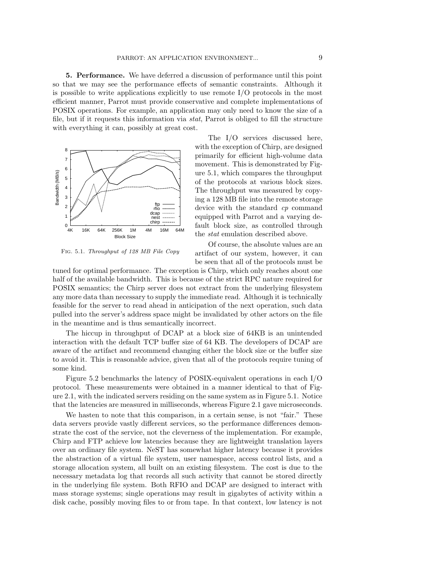5. Performance. We have deferred a discussion of performance until this point so that we may see the performance effects of semantic constraints. Although it is possible to write applications explicitly to use remote I/O protocols in the most efficient manner, Parrot must provide conservative and complete implementations of POSIX operations. For example, an application may only need to know the size of a file, but if it requests this information via stat, Parrot is obliged to fill the structure with everything it can, possibly at great cost.



Fig. 5.1. Throughput of 128 MB File Copy

The I/O services discussed here, with the exception of Chirp, are designed primarily for efficient high-volume data movement. This is demonstrated by Figure 5.1, which compares the throughput of the protocols at various block sizes. The throughput was measured by copying a 128 MB file into the remote storage device with the standard cp command equipped with Parrot and a varying default block size, as controlled through the stat emulation described above.

Of course, the absolute values are an artifact of our system, however, it can be seen that all of the protocols must be

tuned for optimal performance. The exception is Chirp, which only reaches about one half of the available bandwidth. This is because of the strict RPC nature required for POSIX semantics; the Chirp server does not extract from the underlying filesystem any more data than necessary to supply the immediate read. Although it is technically feasible for the server to read ahead in anticipation of the next operation, such data pulled into the server's address space might be invalidated by other actors on the file in the meantime and is thus semantically incorrect.

The hiccup in throughput of DCAP at a block size of 64KB is an unintended interaction with the default TCP buffer size of 64 KB. The developers of DCAP are aware of the artifact and recommend changing either the block size or the buffer size to avoid it. This is reasonable advice, given that all of the protocols require tuning of some kind.

Figure 5.2 benchmarks the latency of POSIX-equivalent operations in each I/O protocol. These measurements were obtained in a manner identical to that of Figure 2.1, with the indicated servers residing on the same system as in Figure 5.1. Notice that the latencies are measured in milliseconds, whereas Figure 2.1 gave microseconds.

We hasten to note that this comparison, in a certain sense, is not "fair." These data servers provide vastly different services, so the performance differences demonstrate the cost of the service, not the cleverness of the implementation. For example, Chirp and FTP achieve low latencies because they are lightweight translation layers over an ordinary file system. NeST has somewhat higher latency because it provides the abstraction of a virtual file system, user namespace, access control lists, and a storage allocation system, all built on an existing filesystem. The cost is due to the necessary metadata log that records all such activity that cannot be stored directly in the underlying file system. Both RFIO and DCAP are designed to interact with mass storage systems; single operations may result in gigabytes of activity within a disk cache, possibly moving files to or from tape. In that context, low latency is not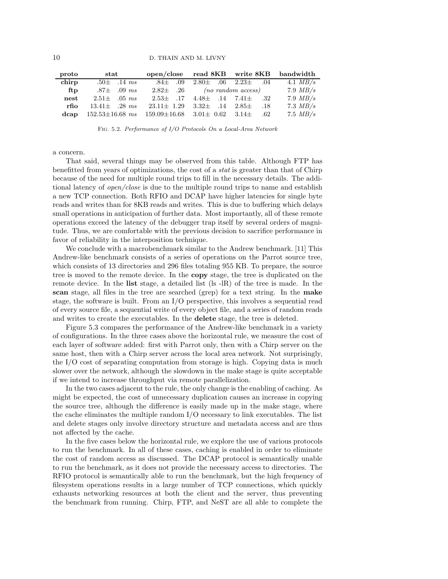| proto | $\operatorname{stat}$                                                  |                                                |                                           | open/close read 8KB write 8KB bandwidth |            |
|-------|------------------------------------------------------------------------|------------------------------------------------|-------------------------------------------|-----------------------------------------|------------|
| chirp | $.50\pm .14 \; ms$                                                     | $.84\pm .09$                                   | $2.80\pm .06$ $2.23\pm .04$               |                                         | 4.1 $MB/s$ |
| ftp   | $.87\pm .09$ ms                                                        |                                                | $2.82\pm .26$ (no random access)          |                                         | 7.9 $MB/s$ |
| nest  | $2.51 \pm .05$ ms                                                      |                                                | $2.53\pm$ .17 $4.48\pm$ .14 $7.41\pm$ .32 |                                         | 7.9 $MB/s$ |
| rfio  | $13.41 \pm 0.28$ ms                                                    | $23.11 \pm 1.29$ $3.32 \pm 1.4$ $2.85 \pm 1.8$ |                                           |                                         | 7.3 $MB/s$ |
|       | dcap $152.53\pm16.68$ ms $159.09\pm16.68$ $3.01\pm 0.62$ $3.14\pm .62$ |                                                |                                           |                                         | 7.5 $MB/s$ |

Fig. 5.2. Performance of I/O Protocols On a Local-Area Network

a concern.

That said, several things may be observed from this table. Although FTP has benefitted from years of optimizations, the cost of a stat is greater than that of Chirp because of the need for multiple round trips to fill in the necessary details. The additional latency of open/close is due to the multiple round trips to name and establish a new TCP connection. Both RFIO and DCAP have higher latencies for single byte reads and writes than for 8KB reads and writes. This is due to buffering which delays small operations in anticipation of further data. Most importantly, all of these remote operations exceed the latency of the debugger trap itself by several orders of magnitude. Thus, we are comfortable with the previous decision to sacrifice performance in favor of reliability in the interposition technique.

We conclude with a macrobenchmark similar to the Andrew benchmark. [11] This Andrew-like benchmark consists of a series of operations on the Parrot source tree, which consists of 13 directories and 296 files totaling 955 KB. To prepare, the source tree is moved to the remote device. In the copy stage, the tree is duplicated on the remote device. In the list stage, a detailed list (ls -lR) of the tree is made. In the scan stage, all files in the tree are searched (grep) for a text string. In the make stage, the software is built. From an I/O perspective, this involves a sequential read of every source file, a sequential write of every object file, and a series of random reads and writes to create the executables. In the delete stage, the tree is deleted.

Figure 5.3 compares the performance of the Andrew-like benchmark in a variety of configurations. In the three cases above the horizontal rule, we measure the cost of each layer of software added: first with Parrot only, then with a Chirp server on the same host, then with a Chirp server across the local area network. Not surprisingly, the I/O cost of separating computation from storage is high. Copying data is much slower over the network, although the slowdown in the make stage is quite acceptable if we intend to increase throughput via remote parallelization.

In the two cases adjacent to the rule, the only change is the enabling of caching. As might be expected, the cost of unnecessary duplication causes an increase in copying the source tree, although the difference is easily made up in the make stage, where the cache eliminates the multiple random I/O necessary to link executables. The list and delete stages only involve directory structure and metadata access and are thus not affected by the cache.

In the five cases below the horizontal rule, we explore the use of various protocols to run the benchmark. In all of these cases, caching is enabled in order to eliminate the cost of random access as discussed. The DCAP protocol is semantically unable to run the benchmark, as it does not provide the necessary access to directories. The RFIO protocol is semantically able to run the benchmark, but the high frequency of filesystem operations results in a large number of TCP connections, which quickly exhausts networking resources at both the client and the server, thus preventing the benchmark from running. Chirp, FTP, and NeST are all able to complete the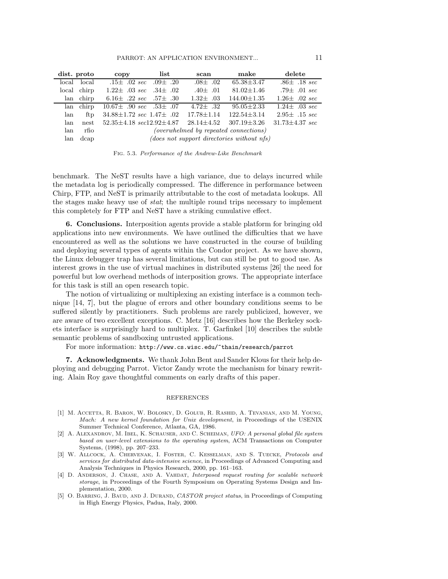| dist. proto |             | copy                                       | list | scan             | make                                         | delete                  |
|-------------|-------------|--------------------------------------------|------|------------------|----------------------------------------------|-------------------------|
|             | local local | $.15\pm .02 \; sec \; .09\pm .20$          |      | $.08\pm .02$     | $65.38 \pm 3.47$                             | $.86 \pm .18 \; sec$    |
|             | local chirp | $1.22 \pm .03 \; sec \; .34 \pm .02$       |      | $.40 \pm .01$    | $81.02 \pm 1.46$                             | .79 $\pm$ .01 sec       |
|             | lan chirp   | 6.16 $\pm$ .22 sec .57 $\pm$ .30           |      | $1.32\pm .03$    | $144.00 \pm 1.35$                            | $1.26 \pm .02 \; sec$   |
|             | lan chirp   | $10.67 \pm .90 \; sec \; .53 \pm .07$      |      | 4.72 $\pm$ .32   | $95.05 \pm 2.33$                             | $1.24 \pm .03 \; sec$   |
| lan         | ftp         | $34.88 \pm 1.72 \; sec \; 1.47 \pm \; .02$ |      | $17.78 \pm 1.14$ | $122.54 \pm 3.14$                            | $2.95\pm .15 \; sec$    |
| lan         | nest        | $52.35 \pm 4.18 \; sec12.92 \pm 4.87$      |      | $28.14 + 4.52$   | $307.19 \pm 3.26$                            | $31.73 \pm 4.37 \; sec$ |
| lan         | rfio        |                                            |      |                  | (overwhelmed by repeated connections)        |                         |
| lan         | dcap        |                                            |      |                  | $(does not support directories without nfs)$ |                         |

Fig. 5.3. Performance of the Andrew-Like Benchmark

benchmark. The NeST results have a high variance, due to delays incurred while the metadata log is periodically compressed. The difference in performance between Chirp, FTP, and NeST is primarily attributable to the cost of metadata lookups. All the stages make heavy use of stat; the multiple round trips necessary to implement this completely for FTP and NeST have a striking cumulative effect.

6. Conclusions. Interposition agents provide a stable platform for bringing old applications into new environments. We have outlined the difficulties that we have encountered as well as the solutions we have constructed in the course of building and deploying several types of agents within the Condor project. As we have shown, the Linux debugger trap has several limitations, but can still be put to good use. As interest grows in the use of virtual machines in distributed systems [26] the need for powerful but low overhead methods of interposition grows. The appropriate interface for this task is still an open research topic.

The notion of virtualizing or multiplexing an existing interface is a common technique [14, 7], but the plague of errors and other boundary conditions seems to be suffered silently by practitioners. Such problems are rarely publicized, however, we are aware of two excellent exceptions. C. Metz [16] describes how the Berkeley sockets interface is surprisingly hard to multiplex. T. Garfinkel [10] describes the subtle semantic problems of sandboxing untrusted applications.

### For more information: http://www.cs.wisc.edu/~thain/research/parrot

7. Acknowledgments. We thank John Bent and Sander Klous for their help deploying and debugging Parrot. Victor Zandy wrote the mechanism for binary rewriting. Alain Roy gave thoughtful comments on early drafts of this paper.

#### REFERENCES

- [1] M. Accetta, R. Baron, W. Bolosky, D. Golub, R. Rashid, A. Tevanian, and M. Young, Mach: A new kernel foundation for Unix development, in Proceedings of the USENIX Summer Technical Conference, Atlanta, GA, 1986.
- [2] A. Alexandrov, M. Ibel, K. Schauser, and C. Scheiman, UFO: A personal global file system based on user-level extensions to the operating system, ACM Transactions on Computer Systems, (1998), pp. 207–233.
- [3] W. Allcock, A. Chervenak, I. Foster, C. Kesselman, and S. Tuecke, Protocols and services for distributed data-intensive science, in Proceedings of Advanced Computing and Analysis Techniques in Physics Research, 2000, pp. 161–163.
- [4] D. ANDERSON, J. CHASE, AND A. VAHDAT, Interposed request routing for scalable network storage, in Proceedings of the Fourth Symposium on Operating Systems Design and Implementation, 2000.
- [5] O. BARRING, J. BAUD, AND J. DURAND, CASTOR project status, in Proceedings of Computing in High Energy Physics, Padua, Italy, 2000.